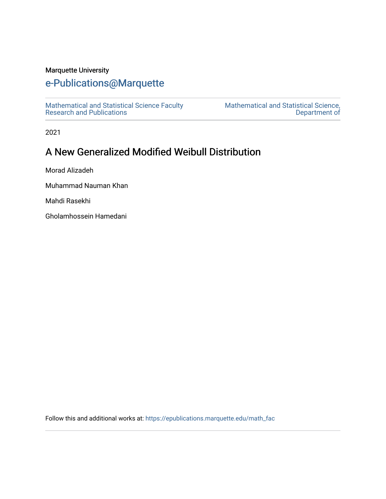### Marquette University

# [e-Publications@Marquette](https://epublications.marquette.edu/)

[Mathematical and Statistical Science Faculty](https://epublications.marquette.edu/math_fac)  [Research and Publications](https://epublications.marquette.edu/math_fac) 

[Mathematical and Statistical Science,](https://epublications.marquette.edu/math)  [Department of](https://epublications.marquette.edu/math) 

2021

# A New Generalized Modified Weibull Distribution

Morad Alizadeh

Muhammad Nauman Khan

Mahdi Rasekhi

Gholamhossein Hamedani

Follow this and additional works at: [https://epublications.marquette.edu/math\\_fac](https://epublications.marquette.edu/math_fac?utm_source=epublications.marquette.edu%2Fmath_fac%2F77&utm_medium=PDF&utm_campaign=PDFCoverPages)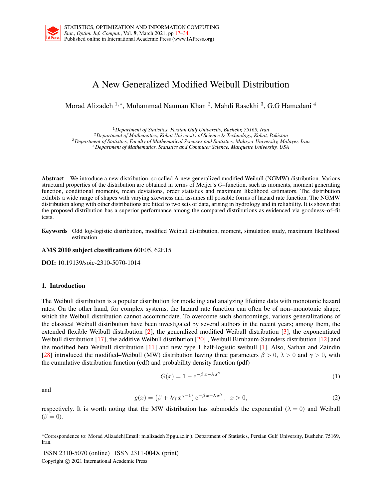## A New Generalized Modified Weibull Distribution

Morad Alizadeh <sup>1,</sup>\*, Muhammad Nauman Khan <sup>2</sup>, Mahdi Rasekhi <sup>3</sup>, G.G Hamedani <sup>4</sup>

<sup>1</sup>*Department of Statistics, Persian Gulf University, Bushehr, 75169, Iran*

<sup>2</sup>*Department of Mathematics, Kohat University of Science* & *Technology, Kohat, Pakistan*

<sup>3</sup>*Department of Statistics, Faculty of Mathematical Sciences and Statistics, Malayer University, Malayer, Iran* <sup>4</sup>*Department of Mathematics, Statistics and Computer Science, Marquette University, USA*

Abstract We introduce a new distribution, so called A new generalized modified Weibull (NGMW) distribution. Various structural properties of the distribution are obtained in terms of Meijer's *G*–function, such as moments, moment generating function, conditional moments, mean deviations, order statistics and maximum likelihood estimators. The distribution exhibits a wide range of shapes with varying skewness and assumes all possible forms of hazard rate function. The NGMW distribution along with other distributions are fitted to two sets of data, arising in hydrology and in reliability. It is shown that the proposed distribution has a superior performance among the compared distributions as evidenced via goodness–of–fit tests.

Keywords Odd log-logistic distribution, modified Weibull distribution, moment, simulation study, maximum likelihood estimation

AMS 2010 subject classifications 60E05, 62E15

DOI: 10.19139/soic-2310-5070-1014

#### 1. Introduction

The Weibull distribution is a popular distribution for modeling and analyzing lifetime data with monotonic hazard rates. On the other hand, for complex systems, the hazard rate function can often be of non–monotonic shape, which the Weibull distribution cannot accommodate. To overcome such shortcomings, various generalizations of the classical Weibull distribution have been investigated by several authors in the recent years; among them, the extended flexible Weibull distribution [2], the generalized modified Weibull distribution [3], the exponentiated Weibull distribution [17], the additive Weibull distribution [20] , Weibull Birnbaum-Saunders distribution [12] and the modified beta Weibull distribution [11] and new type 1 half-logistic weibull [1]. Also, Sarhan and Zaindin [28] introduced the modified–Weibull (MW) distribution having three parameters *β >* 0*, λ >* 0 and *γ >* 0, with the cumulative distribution function (cdf) and probability density function (pdf)

$$
G(x) = 1 - e^{-\beta x - \lambda x^{\gamma}}
$$
 (1)

and

$$
g(x) = (\beta + \lambda \gamma x^{\gamma - 1}) e^{-\beta x - \lambda x^{\gamma}}, \quad x > 0,
$$
 (2)

respectively. It is worth noting that the MW distribution has submodels the exponential  $(λ = 0)$  and Weibull  $(\beta = 0)$ .

ISSN 2310-5070 (online) ISSN 2311-004X (print) Copyright *⃝*c 2021 International Academic Press

*<sup>∗</sup>*Correspondence to: Morad Alizadeh(Email: m.alizadeh@pgu.ac.ir ). Department of Statistics, Persian Gulf University, Bushehr, 75169, Iran.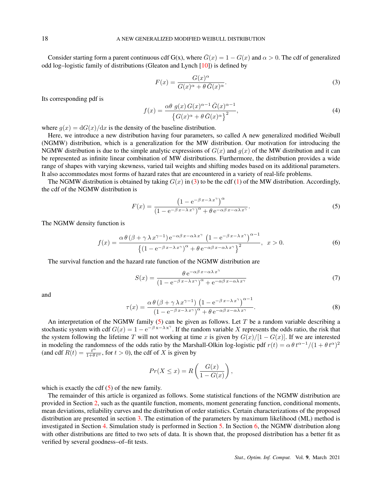Consider starting form a parent continuous cdf G(x), where  $\bar{G}(x) = 1 - G(x)$  and  $\alpha > 0$ . The cdf of generalized odd log–logistic family of distributions (Gleaton and Lynch [10]) is defined by

$$
F(x) = \frac{G(x)^{\alpha}}{G(x)^{\alpha} + \theta \bar{G}(x)^{\alpha}}.
$$
\n(3)

Its corresponding pdf is

$$
f(x) = \frac{\alpha \theta \ g(x) G(x)^{\alpha - 1} \bar{G}(x)^{\alpha - 1}}{\left\{ G(x)^{\alpha} + \theta \bar{G}(x)^{\alpha} \right\}^2},\tag{4}
$$

where  $g(x) = dG(x)/dx$  is the density of the baseline distribution.

Here, we introduce a new distribution having four parameters, so called A new generalized modified Weibull (NGMW) distribution, which is a generalization for the MW distribution. Our motivation for introducing the NGMW distribution is due to the simple analytic expressions of  $G(x)$  and  $g(x)$  of the MW distribution and it can be represented as infinite linear combination of MW distributions. Furthermore, the distribution provides a wide range of shapes with varying skewness, varied tail weights and shifting modes based on its additional parameters. It also accommodates most forms of hazard rates that are encountered in a variety of real-life problems.

The NGMW distribution is obtained by taking  $G(x)$  in (3) to be the cdf (1) of the MW distribution. Accordingly, the cdf of the NGMW distribution is

$$
F(x) = \frac{\left(1 - e^{-\beta x - \lambda x^{\gamma}}\right)^{\alpha}}{\left(1 - e^{-\beta x - \lambda x^{\gamma}}\right)^{\alpha} + \theta e^{-\alpha \beta x - \alpha \lambda x^{\gamma}}}.
$$
\n(5)

The NGMW density function is

$$
f(x) = \frac{\alpha \theta \left(\beta + \gamma \lambda x^{\gamma - 1}\right) e^{-\alpha \beta x - \alpha \lambda x^{\gamma}} \left(1 - e^{-\beta x - \lambda x^{\gamma}}\right)^{\alpha - 1}}{\left\{\left(1 - e^{-\beta x - \lambda x^{\gamma}}\right)^{\alpha} + \theta e^{-\alpha \beta x - \alpha \lambda x^{\gamma}}\right\}^{2}}, \quad x > 0.
$$
 (6)

The survival function and the hazard rate function of the NGMW distribution are

$$
S(x) = \frac{\theta e^{-\alpha \beta x - \alpha \lambda x^{\gamma}}}{(1 - e^{-\beta x - \lambda x^{\gamma}})^{\alpha} + e^{-\alpha \beta x - \alpha \lambda x^{\gamma}}}
$$
(7)

and

$$
\tau(x) = \frac{\alpha \theta \left(\beta + \gamma \lambda x^{\gamma - 1}\right) \left(1 - e^{-\beta x - \lambda x^{\gamma}}\right)^{\alpha - 1}}{\left(1 - e^{-\beta x - \lambda x^{\gamma}}\right)^{\alpha} + \theta e^{-\alpha \beta x - \alpha \lambda x^{\gamma}}}.
$$
\n(8)

An interpretation of the NGMW family (5) can be given as follows. Let *T* be a random variable describing a stochastic system with cdf  $G(x) = 1 - e^{-\beta x - \lambda x^{\gamma}}$ . If the random variable *X* represents the odds ratio, the risk that the system following the lifetime *T* will not working at time *x* is given by  $G(x)/[1 - G(x)]$ . If we are interested in modeling the randomness of the odds ratio by the Marshall-Olkin log-logistic pdf  $r(t) = \alpha \theta t^{\alpha-1}/(1 + \theta t^{\alpha})^2$ (and cdf  $R(t) = \frac{t^{\alpha}}{1 + \theta t^{\alpha}}$ , for  $t > 0$ ), the cdf of *X* is given by

$$
Pr(X \le x) = R\left(\frac{G(x)}{1 - G(x)}\right),
$$

which is exactly the cdf  $(5)$  of the new family.

The remainder of this article is organized as follows. Some statistical functions of the NGMW distribution are provided in Section 2, such as the quantile function, moments, moment generating function, conditional moments, mean deviations, reliability curves and the distribution of order statistics. Certain characterizations of the proposed distribution are presented in section 3. The estimation of the parameters by maximum likelihood (ML) method is investigated in Section 4. Simulation study is performed in Section 5. In Section 6, the NGMW distribution along with other distributions are fitted to two sets of data. It is shown that, the proposed distribution has a better fit as verified by several goodness–of–fit tests.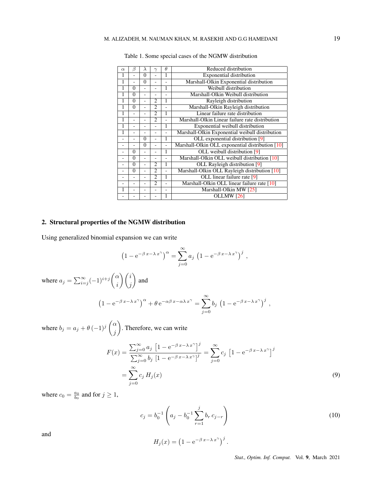| $\alpha$ | ß        | $\lambda$ | $\gamma$       | $\theta$ | Reduced distribution                             |
|----------|----------|-----------|----------------|----------|--------------------------------------------------|
| 1        |          | 0         |                | 1        | <b>Exponential distribution</b>                  |
| 1        | ÷,       | $\Omega$  |                |          | Marshall-Olkin Exponential distribution          |
| 1        | 0        |           |                | 1        | Weibull distribution                             |
| 1        | $\theta$ | ۰         |                |          | Marshall-Olkin Weibull distribution              |
| 1        | $\theta$ |           | $\overline{c}$ | 1        | Rayleigh distribution                            |
| 1        | $\Omega$ |           | $\mathfrak{D}$ |          | Marshall-Olkin Rayleigh distribution             |
| Ī        |          |           | $\overline{c}$ | 1        | Linear failure rate distribution                 |
| 1        |          |           | $\mathfrak{D}$ |          | Marshall-Olkin Linear failure rate distribution  |
| 1        |          |           |                | 1        | Exponential weibull distribution                 |
| 1        |          |           |                |          | Marshall-Olkin Exponential weibull distribution  |
|          |          | 0         |                | 1        | OLL exponential distribution [9]                 |
|          |          | $\Omega$  |                |          | Marshall-Olkin OLL exponential distribution [10] |
|          | $\Omega$ |           |                | 1        | OLL weibull distribution [9]                     |
|          | $\Omega$ |           |                |          | Marshall-Olkin OLL weibull distribution [10]     |
|          | $\Omega$ |           | $\overline{c}$ | 1        | OLL Rayleigh distribution [9]                    |
|          | $\Omega$ |           | $\overline{c}$ |          | Marshall-Olkin OLL Rayleigh distribution [10]    |
|          |          |           | $\overline{c}$ | 1        | OLL linear failure rate [9]                      |
|          |          |           | $\overline{2}$ |          | Marshall-Olkin OLL linear failure rate [10]      |
| 1        |          |           |                |          | Marshall-Olkin MW [25]                           |
|          |          |           |                |          | OLLMW <sub>[26]</sub>                            |

Table 1. Some special cases of the NGMW distribution

#### 2. Structural properties of the NGMW distribution

Using generalized binomial expansion we can write

$$
\left(1 - e^{-\beta x - \lambda x^{\gamma}}\right)^{\alpha} = \sum_{j=0}^{\infty} a_j \left(1 - e^{-\beta x - \lambda x^{\gamma}}\right)^j,
$$

where  $a_j = \sum_{i=j}^{\infty} (-1)^{i+j} \binom{\alpha}{i}$ *i* )(*i j*  $\setminus$ and

$$
\left(1 - e^{-\beta x - \lambda x^{\gamma}}\right)^{\alpha} + \theta e^{-\alpha \beta x - \alpha \lambda x^{\gamma}} = \sum_{j=0}^{\infty} b_j \left(1 - e^{-\beta x - \lambda x^{\gamma}}\right)^{j},
$$

where  $b_j = a_j + \theta (-1)^j \begin{pmatrix} \alpha \\ i \end{pmatrix}$ *j*  $\setminus$ . Therefore, we can write

$$
F(x) = \frac{\sum_{j=0}^{\infty} a_j \left[ 1 - e^{-\beta x - \lambda x^{\gamma}} \right]^j}{\sum_{j=0}^{\infty} b_j \left[ 1 - e^{-\beta x - \lambda x^{\gamma}} \right]^j} = \sum_{j=0}^{\infty} c_j \left[ 1 - e^{-\beta x - \lambda x^{\gamma}} \right]^j
$$
  
=  $\sum_{j=0}^{\infty} c_j H_j(x)$  (9)

where  $c_0 = \frac{a_0}{b_0}$  and for  $j \ge 1$ ,

$$
c_j = b_0^{-1} \left( a_j - b_0^{-1} \sum_{r=1}^j b_r c_{j-r} \right)
$$
 (10)

and

$$
H_j(x) = \left(1 - e^{-\beta x - \lambda x^{\gamma}}\right)^j.
$$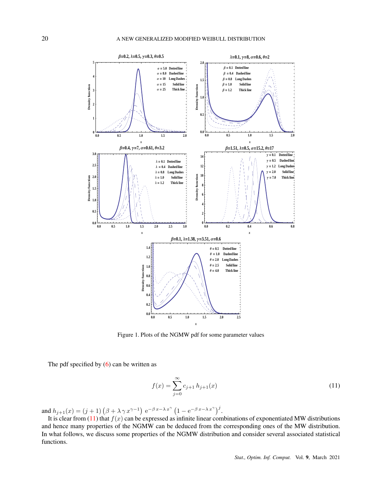

Figure 1. Plots of the NGMW pdf for some parameter values

The pdf specified by  $(6)$  can be written as

$$
f(x) = \sum_{j=0}^{\infty} c_{j+1} h_{j+1}(x)
$$
\n(11)

and  $h_{j+1}(x) = (j+1) (\beta + \lambda \gamma x^{\gamma-1}) e^{-\beta x - \lambda x^{\gamma}} (1 - e^{-\beta x - \lambda x^{\gamma}})^{j}$ .

It is clear from  $(11)$  that  $f(x)$  can be expressed as infinite linear combinations of exponentiated MW distributions and hence many properties of the NGMW can be deduced from the corresponding ones of the MW distribution. In what follows, we discuss some properties of the NGMW distribution and consider several associated statistical functions.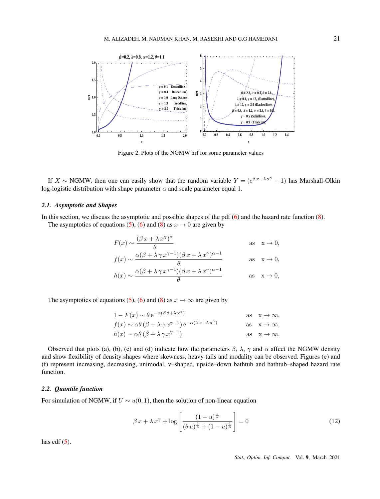

Figure 2. Plots of the NGMW hrf for some parameter values

If  $X \sim NGMW$ , then one can easily show that the random variable  $Y = (e^{\beta x + \lambda x^{\gamma}} - 1)$  has Marshall-Olkin log-logistic distribution with shape parameter  $\alpha$  and scale parameter equal 1.

#### *2.1. Asymptotic and Shapes*

In this section, we discuss the asymptotic and possible shapes of the pdf (6) and the hazard rate function (8).

The asymptotics of equations (5), (6) and (8) as  $x \to 0$  are given by

$$
F(x) \sim \frac{(\beta x + \lambda x^{\gamma})^{\alpha}}{\theta} \quad \text{as} \quad x \to 0,
$$
  

$$
f(x) \sim \frac{\alpha(\beta + \lambda \gamma x^{\gamma - 1})(\beta x + \lambda x^{\gamma})^{\alpha - 1}}{\theta} \quad \text{as} \quad x \to 0,
$$

$$
h(x) \sim \frac{\alpha(\beta + \lambda \gamma x^{\gamma - 1})(\beta x + \lambda x^{\gamma})^{\alpha - 1}}{\theta} \quad \text{as} \quad x \to 0,
$$

The asymptotics of equations (5), (6) and (8) as  $x \to \infty$  are given by

$$
1 - F(x) \sim \theta e^{-\alpha(\beta x + \lambda x^{\gamma})}
$$
 as  $x \to \infty$ ,  
\n
$$
f(x) \sim \alpha \theta (\beta + \lambda \gamma x^{\gamma - 1}) e^{-\alpha(\beta x + \lambda x^{\gamma})}
$$
 as  $x \to \infty$ ,  
\n
$$
h(x) \sim \alpha \theta (\beta + \lambda \gamma x^{\gamma - 1})
$$
 as  $x \to \infty$ .

Observed that plots (a), (b), (c) and (d) indicate how the parameters  $\beta$ ,  $\lambda$ ,  $\gamma$  and  $\alpha$  affect the NGMW density and show flexibility of density shapes where skewness, heavy tails and modality can be observed. Figures (e) and (f) represent increasing, decreasing, unimodal, v–shaped, upside–down bathtub and bathtub–shaped hazard rate function.

#### *2.2. Quantile function*

For simulation of NGMW, if  $U \sim u(0, 1)$ , then the solution of non-linear equation

$$
\beta x + \lambda x^{\gamma} + \log \left[ \frac{(1-u)^{\frac{1}{\alpha}}}{(\theta u)^{\frac{1}{\alpha}} + (1-u)^{\frac{1}{\alpha}}} \right] = 0
$$
\n(12)

has cdf  $(5)$ .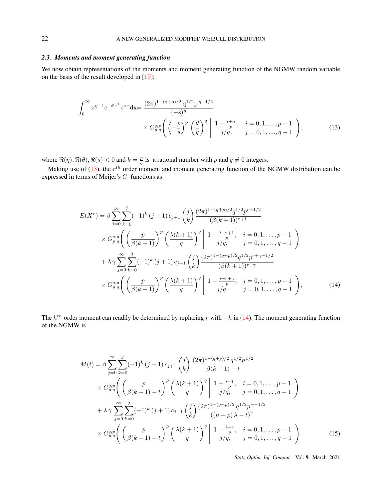### *2.3. Moments and moment generating function*

We now obtain representations of the moments and moment generating function of the NGMW random variable on the basis of the result developed in [19]:

$$
\int_0^\infty x^{\eta-1} e^{-\theta x^k} e^{s x} dx = \frac{(2\pi)^{1-(q+p)/2} q^{1/2} p^{\eta-1/2}}{(-s)^\eta} \times G_{p,q}^{q,p} \left( \left( -\frac{p}{s} \right)^p \left( \frac{\theta}{q} \right)^q \middle| 1 - \frac{i+\eta}{p}, \quad i = 0, 1, ..., p-1 \atop j/q, \quad j = 0, 1, ..., q-1 \right),
$$
\n(13)

where  $\Re(\eta)$ ,  $\Re(\theta)$ ,  $\Re(s) < 0$  and  $k = \frac{p}{q}$  is a rational number with *p* and  $q \neq 0$  integers.

Making use of (13), the *r th* order moment and moment generating function of the NGMW distribution can be expressed in terms of Meijer's *G*–functions as

$$
E(X^{r}) = \beta \sum_{j=0}^{\infty} \sum_{k=0}^{j} (-1)^{k} (j+1) c_{j+1} {j \choose k} \frac{(2\pi)^{1-(q+p)/2} q^{1/2} p^{r+1/2}}{(\beta(k+1))^{r+1}} \times G_{p,q}^{q,p} \left( \left( \frac{p}{\beta(k+1)} \right)^{p} \left( \frac{\lambda(k+1)}{q} \right)^{q} \middle| 1 - \frac{i+r+1}{p}, \quad i = 0, 1, ..., p-1 \atop j/q, \quad j = 0, 1, ..., q-1 \right) \times \sum_{j=0}^{\infty} \sum_{k=0}^{j} (-1)^{k} (j+1) c_{j+1} {j \choose k} \frac{(2\pi)^{1-(q+p)/2} q^{1/2} p^{r+\gamma-1/2}}{(\beta(k+1))^{r+\gamma}} \times G_{p,q}^{q,p} \left( \left( \frac{p}{\beta(k+1)} \right)^{p} \left( \frac{\lambda(k+1)}{q} \right)^{q} \middle| 1 - \frac{i+r+\gamma}{j/q}, \quad i = 0, 1, ..., p-1 \atop j/q, \quad j = 0, 1, ..., q-1 \right), \tag{14}
$$

The *h th* order moment can readily be determined by replacing *r* with *−h* in (14). The moment generating function of the NGMW is

$$
M(t) = \beta \sum_{j=0}^{\infty} \sum_{k=0}^{j} (-1)^{k} (j+1) c_{j+1} {j \choose k} \frac{(2\pi)^{1-(q+p)/2} q^{1/2} p^{1/2}}{\beta(k+1) - t}
$$
  
 
$$
\times G_{p,q}^{q,p} \left( \left( \frac{p}{\beta(k+1) - t} \right)^{p} \left( \frac{\lambda(k+1)}{q} \right)^{q} \middle| 1 - \frac{i+1}{p}, \quad i = 0, 1, ..., p - 1
$$
  
 
$$
+ \lambda \gamma \sum_{j=0}^{\infty} \sum_{k=0}^{j} (-1)^{k} (j+1) c_{j+1} {j \choose k} \frac{(2\pi)^{1-(q+p)/2} q^{1/2} p^{\gamma-1/2}}{((n+p)\lambda - t)^{\gamma}}
$$
  
 
$$
\times G_{p,q}^{q,p} \left( \left( \frac{p}{\beta(k+1) - t} \right)^{p} \left( \frac{\lambda(k+1)}{q} \right)^{q} \middle| 1 - \frac{i+\gamma}{p}, \quad i = 0, 1, ..., p - 1
$$
  
 
$$
j/q, \quad j = 0, 1, ..., q - 1 \right).
$$
 (15)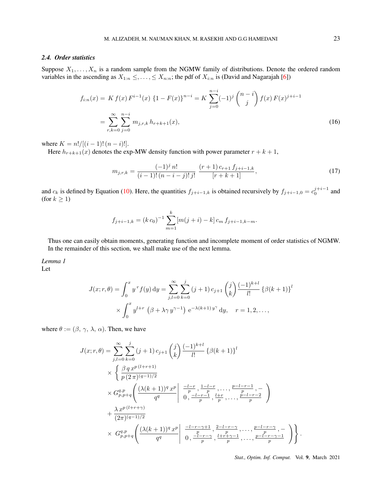#### *2.4. Order statistics*

Suppose  $X_1, \ldots, X_n$  is a random sample from the NGMW family of distributions. Denote the ordered random variables in the ascending as  $X_{1:n} \leq \ldots \leq X_{n:n}$ ; the pdf of  $X_{i:n}$  is (David and Nagarajah [6])

$$
f_{i:n}(x) = K f(x) F^{i-1}(x) \{1 - F(x)\}^{n-i} = K \sum_{j=0}^{n-i} (-1)^j {n-j \choose j} f(x) F(x)^{j+i-1}
$$
  
= 
$$
\sum_{r,k=0}^{\infty} \sum_{j=0}^{n-i} m_{j,r,k} h_{r+k+1}(x),
$$
 (16)

where  $K = n!/[(i - 1)! (n - i)!]$ .

Here  $h_{r+k+1}(x)$  denotes the exp-MW density function with power parameter  $r + k + 1$ ,

$$
m_{j,r,k} = \frac{(-1)^j n!}{(i-1)!(n-i-j)!j!} \frac{(r+1) c_{r+1} f_{j+i-1,k}}{[r+k+1]},\tag{17}
$$

and  $c_k$  is defined by Equation (10). Here, the quantities  $f_{j+i-1,k}$  is obtained recursively by  $f_{j+i-1,0} = c_0^{j+i-1}$  and (for  $k \geq 1$ )

$$
f_{j+i-1,k} = (k c_0)^{-1} \sum_{m=1}^{k} [m(j+i) - k] c_m f_{j+i-1,k-m}.
$$

Thus one can easily obtain moments, generating function and incomplete moment of order statistics of NGMW. In the remainder of this section, we shall make use of the next lemma.

*Lemma 1* Let

$$
J(x; r, \theta) = \int_0^x y^r f(y) dy = \sum_{j,l=0}^\infty \sum_{k=0}^j (j+1) c_{j+1} {j \choose k} \frac{(-1)^{k+l}}{l!} {\{\beta(k+1)\}}^l
$$
  
 
$$
\times \int_0^x y^{l+r} (\beta + \lambda \gamma y^{\gamma-1}) e^{-\lambda(k+1) y^{\gamma}} dy, \quad r = 1, 2, ...,
$$

where  $\theta := (\beta, \gamma, \lambda, \alpha)$ . Then, we have

$$
J(x; r, \theta) = \sum_{j,l=0}^{\infty} \sum_{k=0}^{j} (j+1) c_{j+1} {j \choose k} \frac{(-1)^{k+l}}{l!} {\{\beta(k+1)\}}^{l}
$$
  
 
$$
\times \left\{ \frac{\beta q x^{p(l+r+1)}}{p (2\pi)^{(q-1)/2}} \right.
$$
  
 
$$
\times G_{p,p+q}^{q,p} \left( \frac{(\lambda(k+1))^{q} x^{p}}{q^{q}} \middle| \frac{-l-r}{p}, \frac{1-l-r}{p}, \dots, \frac{p-l-r-1}{p}, -\frac{1}{p} \right\}
$$
  
 
$$
+ \frac{\lambda x^{p(l+r+\gamma)}}{(2\pi)^{(q-1)/2}} \times G_{p,p+q}^{q,p} \left( \frac{(\lambda(k+1))^{q} x^{p}}{q^{q}} \middle| \frac{-l-r-\gamma+1}{0}, \frac{2-l-r-\gamma}{p}, \dots, \frac{p-l-r-\gamma}{p}, -\frac{1}{p} \right\}.
$$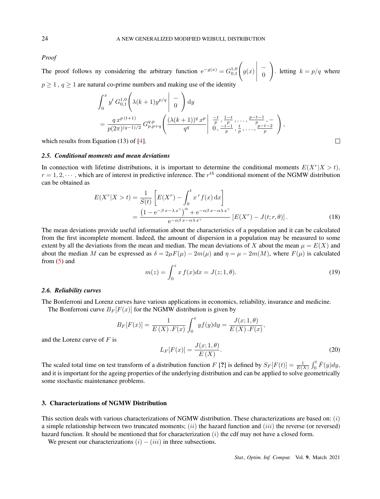*Proof*

The proof follows ny considering the arbitrary function  $e^{-g(x)} = G_{0,1}^{1,0}$  $\sqrt{ }$ *g*(*x*)  $\begin{array}{c} \hline \rule{0pt}{2.2ex} \\[-2pt] \rule{0pt}{2.2ex} \end{array}$ *−*  $\theta$  $\setminus$ *h*. letting  $k = p/q$  where  $p \geq 1$ ,  $q \geq 1$  are natural co-prime numbers and making use of the identity

$$
\int_0^x y^t G_{0,1}^{1,0} \left( \lambda (k+1) y^{p/q} \middle| \begin{array}{c} - \\ 0 \end{array} \right) dy
$$
  
= 
$$
\frac{q x^{p(t+1)}}{p(2\pi)^{(q-1)/2}} G_{p,p+q}^{q,p} \left( \frac{(\lambda (k+1))^q x^p}{q^q} \middle| \begin{array}{c} \frac{-t}{p}, \frac{1-t}{p}, \dots, \frac{p-t-1}{p}, - \\ 0, \frac{-t-1}{p}, \frac{t}{p}, \dots, \frac{p-t-2}{p} \end{array} \right),
$$

which results from Equation (13) of [4].

#### *2.5. Conditional moments and mean deviations*

In connection with lifetime distributions, it is important to determine the conditional moments  $E(X^r | X > t)$ ,  $r = 1, 2, \dots$ , which are of interest in predictive inference. The  $r^{th}$  conditional moment of the NGMW distribution can be obtained as

$$
E(X^r|X>t) = \frac{1}{S(t)} \left[ E(X^r) - \int_0^t x^r f(x) dx \right]
$$
  
= 
$$
\frac{\left(1 - e^{-\beta x - \lambda x^{\gamma}}\right)^{\alpha} + e^{-\alpha \beta x - \alpha \lambda x^{\gamma}}}{e^{-\alpha \beta x - \alpha \lambda x^{\gamma}}} \left[ E(X^r) - J(t; r, \theta) \right].
$$
 (18)

The mean deviations provide useful information about the characteristics of a population and it can be calculated from the first incomplete moment. Indeed, the amount of dispersion in a population may be measured to some extent by all the deviations from the mean and median. The mean deviations of *X* about the mean  $\mu = E(X)$  and about the median *M* can be expressed as  $\delta = 2\mu F(\mu) - 2m(\mu)$  and  $\eta = \mu - 2m(M)$ , where  $F(\mu)$  is calculated from (5) and

$$
m(z) = \int_0^z x f(x) dx = J(z; 1, \theta).
$$
 (19)

#### *2.6. Reliability curves*

The Bonferroni and Lorenz curves have various applications in economics, reliability, insurance and medicine. The Bonferroni curve  $B_F[F(x)]$  for the NGMW distribution is given by

$$
B_F[F(x)] = \frac{1}{E(X) \cdot F(x)} \int_0^x y f(y) dy = \frac{J(x; 1, \theta)}{E(X) \cdot F(x)},
$$
  
\n
$$
L_F[F(x)] = \frac{J(x; 1, \theta)}{E(X)}.
$$
\n(20)

and the Lorenz curve of *F* is

The scaled total time on test transform of a distribution function F [?) is defined by 
$$
S_F[F(t)] = \frac{1}{E(X)} \int_0^t \overline{F}(y) dy
$$
, and it is important for the ageing properties of the underlying distribution and can be applied to solve geometrically some stochastic maintenance problems.

#### 3. Characterizations of NGMW Distribution

This section deals with various characterizations of NGMW distribution. These characterizations are based on: (*i*) a simple relationship between two truncated moments; (*ii*) the hazard function and (*iii*) the reverse (or reversed) hazard function. It should be mentioned that for characterization (*i*) the cdf may not have a closed form.

We present our characterizations  $(i) - (iii)$  in three subsections.

 $\Box$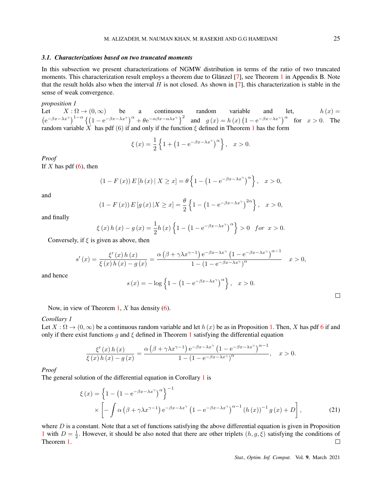#### *3.1. Characterizations based on two truncated moments*

In this subsection we present characterizations of NGMW distribution in terms of the ratio of two truncated moments. This characterization result employs a theorem due to Glänzel  $[7]$ , see Theorem 1 in Appendix B. Note that the result holds also when the interval *H* is not closed. As shown in [7], this characterization is stable in the sense of weak convergence.

#### *proposition 1*

Let  $X : \Omega \to (0, \infty)$  be a continuous random variable and let,  $h(x) =$  $\left(e^{-\beta x-\lambda x^{\gamma}}\right)^{1-\alpha}\left\{\left(1-e^{-\beta x-\lambda x^{\gamma}}\right)^{\alpha}+\theta e^{-\alpha\beta x-\alpha\lambda x^{\gamma}}\right\}^{2}$  and  $g(x)=h(x)\left(1-e^{-\beta x-\lambda x^{\gamma}}\right)^{\alpha}$  for  $x>0$ . The random variable *X* has pdf (6) if and only if the function *ξ* defined in Theorem 1 has the form

$$
\xi(x) = \frac{1}{2} \left\{ 1 + \left( 1 - e^{-\beta x - \lambda x^{\gamma}} \right)^{\alpha} \right\}, \quad x > 0.
$$

*Proof* If  $X$  has pdf  $(6)$ , then

$$
(1 - F(x)) E [h(x) | X \ge x] = \theta \left\{ 1 - \left( 1 - e^{-\beta x - \lambda x^{\gamma}} \right)^{\alpha} \right\}, \quad x > 0,
$$

and

$$
(1 - F(x)) E[g(x) | X \ge x] = \frac{\theta}{2} \left\{ 1 - (1 - e^{-\beta x - \lambda x^{\gamma}})^{2\alpha} \right\}, \quad x > 0,
$$

and finally

$$
\xi(x) h(x) - g(x) = \frac{1}{2} h(x) \left\{ 1 - \left( 1 - e^{-\beta x - \lambda x^{\gamma}} \right)^{\alpha} \right\} > 0 \text{ for } x > 0.
$$

Conversely, if *ξ* is given as above, then

$$
s'(x) = \frac{\xi'(x)h(x)}{\xi(x)h(x) - g(x)} = \frac{\alpha(\beta + \gamma\lambda x^{\gamma - 1})e^{-\beta x - \lambda x^{\gamma}}(1 - e^{-\beta x - \lambda x^{\gamma}})^{\alpha - 1}}{1 - (1 - e^{-\beta x - \lambda x^{\gamma}})^{\alpha}} \quad x > 0,
$$

and hence

$$
s(x) = -\log\left\{1 - \left(1 - e^{-\beta x - \lambda x^{\gamma}}\right)^{\alpha}\right\}, \quad x > 0.
$$

Now, in view of Theorem 1, *X* has density (6).

#### *Corollary 1*

Let  $X : \Omega \to (0, \infty)$  be a continuous random variable and let  $h(x)$  be as in Proposition 1. Then, *X* has pdf 6 if and only if there exist functions  $g$  and  $\xi$  defined in Theorem 1 satisfying the differential equation

$$
\frac{\xi'(x)h(x)}{\xi(x)h(x) - g(x)} = \frac{\alpha(\beta + \gamma\lambda x^{\gamma - 1})e^{-\beta x - \lambda x^{\gamma}}(1 - e^{-\beta x - \lambda x^{\gamma}})^{\alpha - 1}}{1 - (1 - e^{-\beta x - \lambda x^{\gamma}})^{\alpha}}, \quad x > 0.
$$

*Proof*

The general solution of the differential equation in Corollary 1 is

$$
\xi(x) = \left\{ 1 - \left( 1 - e^{-\beta x - \lambda x^{\gamma}} \right)^{\alpha} \right\}^{-1}
$$
  
 
$$
\times \left[ - \int \alpha \left( \beta + \gamma \lambda x^{\gamma - 1} \right) e^{-\beta x - \lambda x^{\gamma}} \left( 1 - e^{-\beta x - \lambda x^{\gamma}} \right)^{\alpha - 1} \left( h(x) \right)^{-1} g(x) + D \right],
$$
 (21)

where  $D$  is a constant. Note that a set of functions satisfying the above differential equation is given in Proposition 1 with  $D = \frac{1}{2}$ . However, it should be also noted that there are other triplets  $(h, g, \xi)$  satisfying the conditions of Theorem 1.  $\Box$ 

*Stat., Optim. Inf. Comput.* Vol. 9, March 2021

 $\Box$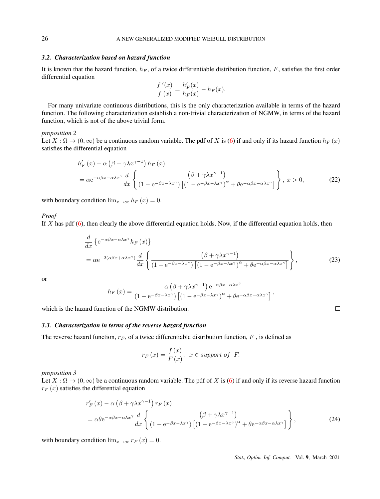#### *3.2. Characterization based on hazard function*

It is known that the hazard function,  $h_F$ , of a twice differentiable distribution function,  $F$ , satisfies the first order differential equation

$$
\frac{f'(x)}{f(x)} = \frac{h'_F(x)}{h_F(x)} - h_F(x).
$$

For many univariate continuous distributions, this is the only characterization available in terms of the hazard function. The following characterization establish a non-trivial characterization of NGMW, in terms of the hazard function, which is not of the above trivial form.

#### *proposition 2*

Let  $X : \Omega \to (0, \infty)$  be a continuous random variable. The pdf of X is (6) if and only if its hazard function  $h_F(x)$ satisfies the differential equation

$$
h'_{F}(x) - \alpha \left(\beta + \gamma \lambda x^{\gamma - 1}\right) h_{F}(x)
$$
  
=  $\alpha e^{-\alpha \beta x - \alpha \lambda x^{\gamma}} \frac{d}{dx} \left\{ \frac{\left(\beta + \gamma \lambda x^{\gamma - 1}\right)}{\left(1 - e^{-\beta x - \lambda x^{\gamma}}\right)\left[\left(1 - e^{-\beta x - \lambda x^{\gamma}}\right)^{\alpha} + \theta e^{-\alpha \beta x - \alpha \lambda x^{\gamma}}\right]}\right\}, x > 0,$  (22)

with boundary condition  $\lim_{x\to\infty} h_F(x) = 0$ .

*Proof*

If *X* has pdf (6), then clearly the above differential equation holds. Now, if the differential equation holds, then

$$
\frac{d}{dx} \left\{ e^{-\alpha \beta x - \alpha \lambda x^{\gamma}} h_F(x) \right\}
$$
\n
$$
= \alpha e^{-2(\alpha \beta x + \alpha \lambda x^{\gamma})} \frac{d}{dx} \left\{ \frac{\left(\beta + \gamma \lambda x^{\gamma - 1}\right)}{\left(1 - e^{-\beta x - \lambda x^{\gamma}}\right) \left[\left(1 - e^{-\beta x - \lambda x^{\gamma}}\right)^{\alpha} + \theta e^{-\alpha \beta x - \alpha \lambda x^{\gamma}}\right]} \right\},
$$
\n(23)

or

$$
h_F(x) = \frac{\alpha \left(\beta + \gamma \lambda x^{\gamma - 1}\right) e^{-\alpha \beta x - \alpha \lambda x^{\gamma}}}{\left(1 - e^{-\beta x - \lambda x^{\gamma}}\right) \left[\left(1 - e^{-\beta x - \lambda x^{\gamma}}\right)^{\alpha} + \theta e^{-\alpha \beta x - \alpha \lambda x^{\gamma}}\right]},
$$

which is the hazard function of the NGMW distribution.

#### *3.3. Characterization in terms of the reverse hazard function*

The reverse hazard function,  $r_F$ , of a twice differentiable distribution function,  $F$ , is defined as

$$
r_F(x) = \frac{f(x)}{F(x)}, \ \ x \in support \ of \ \ F.
$$

*proposition 3*

Let  $X : \Omega \to (0, \infty)$  be a continuous random variable. The pdf of *X* is (6) if and only if its reverse hazard function  $r_F(x)$  satisfies the differential equation

$$
r'_{F}(x) - \alpha \left(\beta + \gamma \lambda x^{\gamma - 1}\right) r_{F}(x)
$$
  
=  $\alpha \theta e^{-\alpha \beta x - \alpha \lambda x^{\gamma}} \frac{d}{dx} \left\{ \frac{\left(\beta + \gamma \lambda x^{\gamma - 1}\right)}{\left(1 - e^{-\beta x - \lambda x^{\gamma}}\right)\left[\left(1 - e^{-\beta x - \lambda x^{\gamma}}\right)^{\alpha} + \theta e^{-\alpha \beta x - \alpha \lambda x^{\gamma}}\right]} \right\},$  (24)

with boundary condition  $\lim_{x\to\infty} r_F(x) = 0$ .

*Stat., Optim. Inf. Comput.* Vol. 9, March 2021

 $\Box$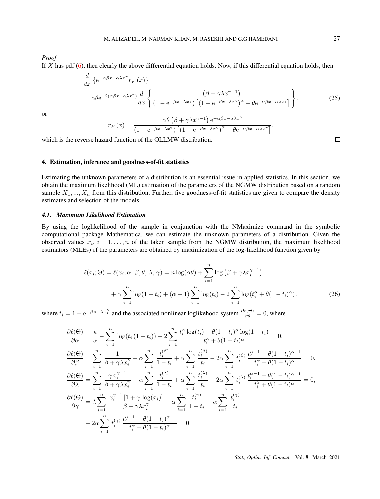*Proof*

If *X* has pdf (6), then clearly the above differential equation holds. Now, if this differential equation holds, then

$$
\frac{d}{dx} \left\{ e^{-\alpha \beta x - \alpha \lambda x^{\gamma}} r_F(x) \right\}
$$
\n
$$
= \alpha \theta e^{-2(\alpha \beta x + \alpha \lambda x^{\gamma})} \frac{d}{dx} \left\{ \frac{\left(\beta + \gamma \lambda x^{\gamma - 1}\right)}{\left(1 - e^{-\beta x - \lambda x^{\gamma}}\right) \left[\left(1 - e^{-\beta x - \lambda x^{\gamma}}\right)^{\alpha} + \theta e^{-\alpha \beta x - \alpha \lambda x^{\gamma}}\right]} \right\},
$$
\n(25)

or

$$
r_F(x) = \frac{\alpha \theta \left(\beta + \gamma \lambda x^{\gamma - 1}\right) e^{-\alpha \beta x - \alpha \lambda x^{\gamma}}}{\left(1 - e^{-\beta x - \lambda x^{\gamma}}\right) \left[\left(1 - e^{-\beta x - \lambda x^{\gamma}}\right)^{\alpha} + \theta e^{-\alpha \beta x - \alpha \lambda x^{\gamma}}\right]},
$$
\nrd function of the OLLMW distribution.

which is the reverse hazard function of the OLLMW distribution.

#### 4. Estimation, inference and goodness-of-fit statistics

Estimating the unknown parameters of a distribution is an essential issue in applied statistics. In this section, we obtain the maximum likelihood (ML) estimation of the parameters of the NGMW distribution based on a random sample  $X_1, ..., X_n$  from this distribution. Further, five goodness-of-fit statistics are given to compare the density estimates and selection of the models.

#### *4.1. Maximum Likelihood Estimation*

By using the loglikelihood of the sample in conjunction with the NMaximize command in the symbolic computational package Mathematica, we can estimate the unknown parameters of a distribution. Given the observed values  $x_i$ ,  $i = 1, \ldots, n$  of the taken sample from the NGMW distribution, the maximum likelihood estimators (MLEs) of the parameters are obtained by maximization of the log-likelihood function given by

$$
\ell(x_i; \Theta) = \ell(x_i, \alpha, \beta, \theta, \lambda, \gamma) = n \log(\alpha \theta) + \sum_{i=1}^n \log (\beta + \gamma \lambda x_i^{\gamma - 1})
$$

$$
+ \alpha \sum_{i=1}^n \log(1 - t_i) + (\alpha - 1) \sum_{i=1}^n \log(t_i) - 2 \sum_{i=1}^n \log(t_i^{\alpha} + \theta (1 - t_i)^{\alpha}), \tag{26}
$$

where  $t_i = 1 - e^{-\beta x - \lambda x_i^{\gamma}}$  and the associated nonlinear loglikehood system  $\frac{\partial \ell(\Theta)}{\partial \theta} = 0$ , where

$$
\frac{\partial \ell(\Theta)}{\partial \alpha} = \frac{n}{\alpha} - \sum_{i=1}^{n} \log(t_i (1 - t_i)) - 2 \sum_{i=1}^{n} \frac{t_i^{\alpha} \log(t_i) + \theta (1 - t_i)^{\alpha} \log(1 - t_i)}{t_i^{\alpha} + \theta (1 - t_i)^{\alpha}} = 0,
$$
\n
$$
\frac{\partial \ell(\Theta)}{\partial \beta} = \sum_{i=1}^{n} \frac{1}{\beta + \gamma \lambda x_i^{\gamma}} - \alpha \sum_{i=1}^{n} \frac{t_i^{(\beta)}}{1 - t_i} + \alpha \sum_{i=1}^{n} \frac{t_i^{(\beta)}}{t_i} - 2\alpha \sum_{i=1}^{n} t_i^{(\beta)} \frac{t_i^{\alpha - 1} - \theta (1 - t_i)^{\alpha - 1}}{t_i^{\alpha} + \theta (1 - t_i)^{\alpha}} = 0,
$$
\n
$$
\frac{\partial \ell(\Theta)}{\partial \lambda} = \sum_{i=1}^{n} \frac{\gamma x_i^{\gamma - 1}}{\beta + \gamma \lambda x_i^{\gamma}} - \alpha \sum_{i=1}^{n} \frac{t_i^{(\lambda)}}{1 - t_i} + \alpha \sum_{i=1}^{n} \frac{t_i^{(\lambda)}}{t_i} - 2\alpha \sum_{i=1}^{n} t_i^{(\lambda)} \frac{t_i^{\alpha - 1} - \theta (1 - t_i)^{\alpha - 1}}{t_i^{\lambda} + \theta (1 - t_i)^{\alpha}} = 0,
$$
\n
$$
\frac{\partial \ell(\Theta)}{\partial \gamma} = \lambda \sum_{i=1}^{n} \frac{x_i^{\gamma - 1} [1 + \gamma \log(x_i)]}{\beta + \gamma \lambda x_i^{\gamma}} - \alpha \sum_{i=1}^{n} \frac{t_i^{(\gamma)}}{1 - t_i} + \alpha \sum_{i=1}^{n} \frac{t_i^{(\gamma)}}{t_i}
$$
\n
$$
-2\alpha \sum_{i=1}^{n} t_i^{(\gamma)} \frac{t_i^{\alpha - 1} - \theta (1 - t_i)^{\alpha - 1}}{t_i^{\alpha} + \theta (1 - t_i)^{\alpha}} = 0,
$$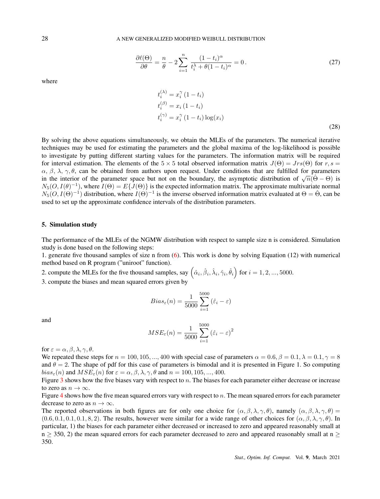$$
\frac{\partial \ell(\Theta)}{\partial \theta} = \frac{n}{\theta} - 2 \sum_{i=1}^{n} \frac{(1 - t_i)^{\alpha}}{t_i^{\lambda} + \theta (1 - t_i)^{\alpha}} = 0.
$$
 (27)

where

$$
t_i^{(\lambda)} = x_i^{\gamma} (1 - t_i)
$$
  
\n
$$
t_i^{(\beta)} = x_i (1 - t_i)
$$
  
\n
$$
t_i^{(\gamma)} = x_i^{\gamma} (1 - t_i) \log(x_i)
$$
\n(28)

By solving the above equations simultaneously, we obtain the MLEs of the parameters. The numerical iterative techniques may be used for estimating the parameters and the global maxima of the log-likelihood is possible to investigate by putting different starting values for the parameters. The information matrix will be required for interval estimation. The elements of the  $5 \times 5$  total observed information matrix  $J(\Theta) = Jrs(\Theta)$  for  $r, s =$ *α, β, λ, γ, θ, can be obtained from authors upon request. Under conditions that are fulfilled for parameters* in the interior of the parameter space but not on the boundary, the asymptotic distribution of  $\sqrt{n}(\hat{\Theta} - \Theta)$  is  $N_5(O, I(\theta)^{-1})$ , where  $I(\Theta) = E\{J(\Theta)\}\$ is the expected information matrix. The approximate multivariate normal  $N_5(O, I(\Theta)^{-1})$  distribution, where  $I(\Theta)^{-1}$  is the inverse observed information matrix evaluated at  $\Theta = \hat{\Theta}$ , can be used to set up the approximate confidence intervals of the distribution parameters.

#### 5. Simulation study

The performance of the MLEs of the NGMW distribution with respect to sample size n is considered. Simulation study is done based on the following steps:

1. generate five thousand samples of size n from (6). This work is done by solving Equation (12) with numerical method based on R program ("uniroot" function).

2. compute the MLEs for the five thousand samples, say  $(\hat{\alpha}_i, \hat{\beta}_i, \hat{\lambda}_i, \hat{\gamma}_i, \hat{\theta}_i)$  for  $i = 1, 2, ..., 5000$ .

3. compute the biases and mean squared errors given by

$$
Bias_{\varepsilon}(n) = \frac{1}{5000} \sum_{i=1}^{5000} (\hat{\varepsilon}_i - \varepsilon)
$$

and

$$
MSE_{\varepsilon}(n) = \frac{1}{5000} \sum_{i=1}^{5000} (\hat{\varepsilon}_i - \varepsilon)^2
$$

for  $\varepsilon = \alpha, \beta, \lambda, \gamma, \theta$ .

We repeated these steps for  $n = 100, 105, \dots, 400$  with special case of parameters  $\alpha = 0.6, \beta = 0.1, \lambda = 0.1, \gamma = 8$ and  $\theta = 2$ . The shape of pdf for this case of parameters is bimodal and it is presented in Figure 1. So computing *bias*<sub> $\varepsilon$ </sub>(*n*) and  $MSE_{\varepsilon}$ (*n*) for  $\varepsilon = \alpha, \beta, \lambda, \gamma, \theta$  and  $n = 100, 105, ..., 400$ .

Figure 3 shows how the five biases vary with respect to *n*. The biases for each parameter either decrease or increase to zero as  $n \to \infty$ .

Figure 4 shows how the five mean squared errors vary with respect to *n.* The mean squared errors for each parameter decrease to zero as  $n \to \infty$ .

The reported observations in both figures are for only one choice for  $(\alpha, \beta, \lambda, \gamma, \theta)$ , namely  $(\alpha, \beta, \lambda, \gamma, \theta)$  $(0.6, 0.1, 0.1, 0.1, 8, 2)$ . The results, however were similar for a wide range of other choices for  $(\alpha, \beta, \lambda, \gamma, \theta)$ . In particular, 1) the biases for each parameter either decreased or increased to zero and appeared reasonably small at n *≥* 350, 2) the mean squared errors for each parameter decreased to zero and appeared reasonably small at n *≥* 350.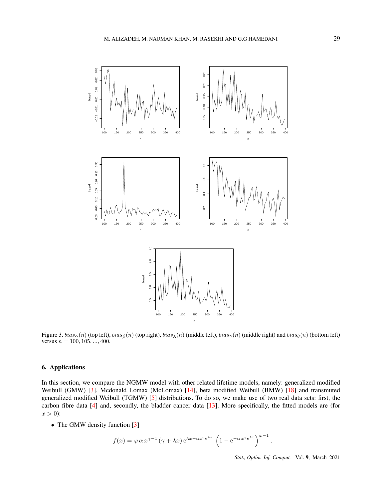

Figure 3.  $bias_{\alpha}(n)$  (top left),  $bias_{\beta}(n)$  (top right),  $bias_{\lambda}(n)$  (middle left),  $bias_{\gamma}(n)$  (middle right) and  $bias_{\theta}(n)$  (bottom left) versus  $n = 100, 105, ..., 400$ .

### 6. Applications

In this section, we compare the NGMW model with other related lifetime models, namely: generalized modified Weibull (GMW) [3], Mcdonald Lomax (McLomax) [14], beta modified Weibull (BMW) [18] and transmuted generalized modified Weibull (TGMW) [5] distributions. To do so, we make use of two real data sets: first, the carbon fibre data [4] and, secondly, the bladder cancer data [13]. More specifically, the fitted models are (for  $x > 0$ :

• The GMW density function [3]

$$
f(x) = \varphi \alpha x^{\gamma - 1} (\gamma + \lambda x) e^{\lambda x - \alpha x^{\gamma} e^{\lambda x}} \left( 1 - e^{-\alpha x^{\gamma} e^{\lambda x}} \right)^{\varphi - 1}
$$

*,*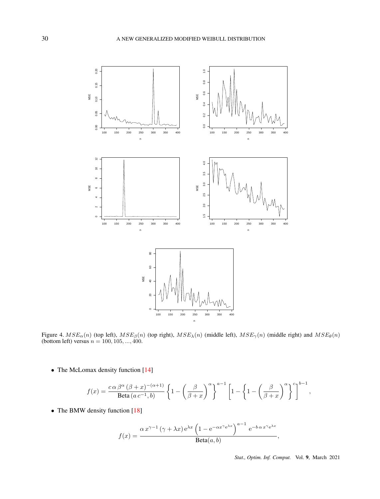

Figure 4.  $MSE_{\alpha}(n)$  (top left),  $MSE_{\beta}(n)$  (top right),  $MSE_{\lambda}(n)$  (middle left),  $MSE_{\gamma}(n)$  (middle right) and  $MSE_{\theta}(n)$ (bottom left) versus *n* = 100*,* 105*, ...,* 400.

• The McLomax density function [14]

$$
f(x) = \frac{c \alpha \beta^{\alpha} (\beta + x)^{-(\alpha+1)}}{\text{Beta}(a \, c^{-1}, b)} \left\{ 1 - \left( \frac{\beta}{\beta + x} \right)^{\alpha} \right\}^{a-1} \left[ 1 - \left\{ 1 - \left( \frac{\beta}{\beta + x} \right)^{\alpha} \right\}^{c} \right]^{b-1}
$$

• The BMW density function [18]

$$
f(x) = \frac{\alpha x^{\gamma - 1} (\gamma + \lambda x) e^{\lambda x} \left( 1 - e^{-\alpha x^{\gamma} e^{\lambda x}} \right)^{a - 1} e^{-b \alpha x^{\gamma} e^{\lambda x}}}{\text{Beta}(a, b)},
$$

*Stat., Optim. Inf. Comput.* Vol. 9, March 2021

*,*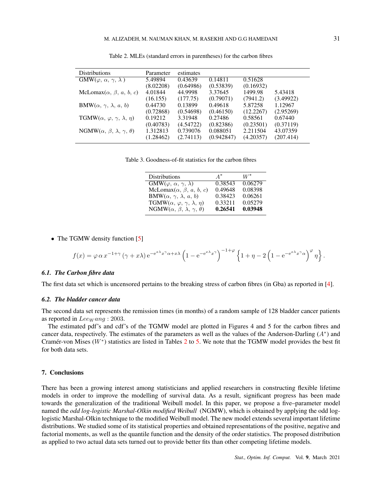| Parameter | estimates |            |           |           |
|-----------|-----------|------------|-----------|-----------|
| 5.49894   | 0.43639   | 0.14811    | 0.51628   |           |
| (8.02208) | (0.64986) | (0.53839)  | (0.16932) |           |
| 4.01844   | 44.9998   | 3.37645    | 1499.98   | 5.43418   |
| (16.155)  | (177.75)  | (0.79071)  | (7941.2)  | (3.49922) |
| 0.44730   | 0.13899   | 0.49618    | 5.87258   | 1.12967   |
| (0.72868) | (0.54698) | (0.46150)  | (12.2267) | (2.95269) |
| 0.19212   | 3.31948   | 0.27486    | 0.58561   | 0.67440   |
| (0.40783) | (4.54722) | (0.82386)  | (0.23501) | (0.37119) |
| 1.312813  | 0.739076  | 0.088051   | 2.211504  | 43.07359  |
| (1.28462) | (2.74113) | (0.942847) | (4.20357) | (207.414) |
|           |           |            |           |           |

Table 2. MLEs (standard errors in parentheses) for the carbon fibres

Table 3. Goodness-of-fit statistics for the carbon fibres

| <b>Distributions</b>                                      | $A^*$   | $W^\ast$ |
|-----------------------------------------------------------|---------|----------|
| $\overline{\text{GMW}(\varphi, \alpha, \gamma, \lambda)}$ | 0.38543 | 0.06279  |
| McLomax $(\alpha, \beta, a, b, c)$                        | 0.49648 | 0.08398  |
| $\text{BMW}(\alpha, \gamma, \lambda, a, b)$               | 0.38423 | 0.06261  |
| TGMW $(\alpha, \varphi, \gamma, \lambda, \eta)$           | 0.33211 | 0.05279  |
| NGMW $(\alpha, \beta, \lambda, \gamma, \theta)$           | 0.26541 | 0.03948  |

• The TGMW density function [5]

$$
f(x) = \varphi \alpha x^{-1+\gamma} (\gamma + x\lambda) e^{-e^{x\lambda} x^{\gamma} \alpha + x\lambda} \left( 1 - e^{-e^{x\lambda} x^{\gamma}} \right)^{-1+\varphi} \left\{ 1 + \eta - 2 \left( 1 - e^{-e^{x\lambda} x^{\gamma} \alpha} \right)^{\varphi} \eta \right\}.
$$

#### *6.1. The Carbon fibre data*

The first data set which is uncensored pertains to the breaking stress of carbon fibres (in Gba) as reported in [4].

#### *6.2. The bladder cancer data*

The second data set represents the remission times (in months) of a random sample of 128 bladder cancer patients as reported in *Lee<sub>W</sub>* ang : 2003.

The estimated pdf's and cdf's of the TGMW model are plotted in Figures 4 and 5 for the carbon fibres and cancer data, respectively. The estimates of the parameters as well as the values of the Anderson-Darling (*A<sup>∗</sup>* ) and Cramér-von Mises  $(W^*)$  statistics are listed in Tables 2 to 5. We note that the TGMW model provides the best fit for both data sets.

#### 7. Conclusions

There has been a growing interest among statisticians and applied researchers in constructing flexible lifetime models in order to improve the modelling of survival data. As a result, significant progress has been made towards the generalization of the traditional Weibull model. In this paper, we propose a five–parameter model named the *odd log-logistic Marshal-Olkin modified Weibull* (NGMW), which is obtained by applying the odd loglogistic Marshal-Olkin technique to the modified Weibull model. The new model extends several important lifetime distributions. We studied some of its statistical properties and obtained representations of the positive, negative and factorial moments, as well as the quantile function and the density of the order statistics. The proposed distribution as applied to two actual data sets turned out to provide better fits than other competing lifetime models.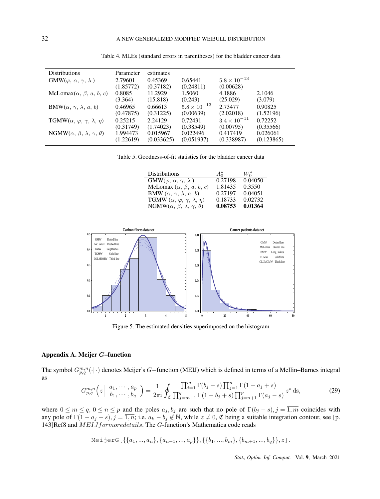| <b>Distributions</b>                                  | Parameter | estimates  |                       |                       |            |
|-------------------------------------------------------|-----------|------------|-----------------------|-----------------------|------------|
| $GMW(\varphi, \alpha, \gamma, \lambda)$               | 2.79601   | 0.45369    | 0.65441               | $5.8 \times 10^{-13}$ |            |
|                                                       | (1.85772) | (0.37182)  | (0.24811)             | (0.00628)             |            |
| McLomax $(\alpha, \beta, a, b, c)$                    | 0.8085    | 11.2929    | 1.5060                | 4.1886                | 2.1046     |
|                                                       | (3.364)   | (15.818)   | (0.243)               | (25.029)              | (3.079)    |
| <b>BMW</b> $(\alpha, \gamma, \lambda, a, b)$          | 0.46965   | 0.66613    | $5.8 \times 10^{-13}$ | 2.73477               | 0.90825    |
|                                                       | (0.47875) | (0.31225)  | (0.00639)             | (2.02018)             | (1.52196)  |
| TGMW $(\alpha, \varphi, \gamma, \lambda, \eta)$       | 0.25215   | 2.24129    | 0.72431               | $3.4 \times 10^{-11}$ | 0.72252    |
|                                                       | (0.31749) | (1.74023)  | (0.38549)             | (0.00795)             | (0.35566)  |
| $\text{NGMW}(\alpha, \beta, \lambda, \gamma, \theta)$ | 1.994473  | 0.015967   | 0.022496              | 0.417419              | 0.026061   |
|                                                       | (1.22619) | (0.033625) | (0.051937)            | (0.338987)            | (0.123865) |
|                                                       |           |            |                       |                       |            |

Table 4. MLEs (standard errors in parentheses) for the bladder cancer data

Table 5. Goodness-of-fit statistics for the bladder cancer data

| <b>Distributions</b>                            | $A_0^*$ | $W_0^*$ |
|-------------------------------------------------|---------|---------|
| $\text{GMW}(\varphi, \alpha, \gamma, \lambda)$  | 0.27198 | 0.04050 |
| McLomax $(\alpha, \beta, a, b, c)$              | 1.81435 | 0.3550  |
| BMW $(\alpha, \gamma, \lambda, a, b)$           | 0.27197 | 0.04051 |
| TGMW $(\alpha, \varphi, \gamma, \lambda, \eta)$ | 0.18733 | 0.02732 |
| NGMW $(\alpha, \beta, \lambda, \gamma, \theta)$ | 0.08753 | 0.01364 |



Figure 5. The estimated densities superimposed on the histogram

#### Appendix A. Meijer *G*–function

The symbol *Gm,n p,q* (*·| ·*) denotes Meijer's *G−*function (MEIJ) which is defined in terms of a Mellin–Barnes integral as

$$
G_{p,q}^{m,n}\left(z \mid \begin{array}{c} a_1, \cdots, a_p \\ b_1, \cdots, b_q \end{array}\right) = \frac{1}{2\pi i} \oint_{\mathfrak{C}} \frac{\prod_{j=1}^m \Gamma(b_j - s) \prod_{j=1}^n \Gamma(1 - a_j + s)}{\prod_{j=m+1}^q \Gamma(1 - b_j + s) \prod_{j=n+1}^p \Gamma(a_j - s)} z^s \, ds,
$$
\n(29)

where  $0 \le m \le q$ ,  $0 \le n \le p$  and the poles  $a_j, b_j$  are such that no pole of  $\Gamma(b_j - s), j = \overline{1,m}$  coincides with any pole of  $\Gamma(1 - a_j + s)$ ,  $j = \overline{1, n}$ ; i.e.  $a_k - b_j \notin \mathbb{N}$ , while  $z \neq 0$ ,  $\mathfrak C$  being a suitable integration contour, see [p. 143]Ref8 and *MEIJformoredetails*. The *G*-function's Mathematica code reads

Meijerc
$$
\{\{a_1,...,a_n\},\{a_{n+1},...,a_p\}\},\{\{b_1,...,b_m\},\{b_{m+1},...,b_q\}\},z].
$$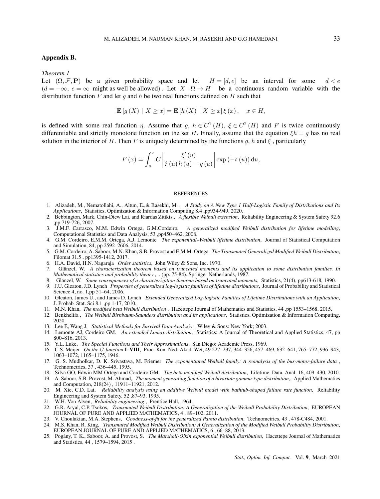#### Appendix B.

#### *Theorem 1*

Let  $(\Omega, \mathcal{F}, P)$  be a given probability space and let  $H = [d, e]$  be an interval for some  $d < e$  $(d = -\infty, e = \infty$  might as well be allowed). Let  $X : \Omega \to H$  be a continuous random variable with the distribution function *F* and let *g* and *h* be two real functions defined on *H* such that

$$
\mathbf{E}[g(X) | X \ge x] = \mathbf{E}[h(X) | X \ge x] \xi(x), \quad x \in H,
$$

is defined with some real function *η*. Assume that *g*,  $h \in C^1(H)$ ,  $\xi \in C^2(H)$  and *F* is twice continuously differentiable and strictly monotone function on the set *H*. Finally, assume that the equation  $\xi h = g$  has no real solution in the interior of *H*. Then *F* is uniquely determined by the functions *g*, *h* and  $\xi$ , particularly

$$
F(x) = \int_{a}^{x} C \left| \frac{\xi'(u)}{\xi(u) h(u) - g(u)} \right| \exp(-s(u)) du,
$$

#### **REFERENCES**

- 1. Alizadeh, M., Nematollahi, A., Altun, E.,& Rasekhi, M. , *A Study on A New Type 1 Half-Logistic Family of Distributions and Its Applications*, Statistics, Optimization & Information Computing 8.4 ,pp934-949, 2020.
- 2. Bebbington, Mark, Chin-Diew Lai, and Riardas Zitikis., *A flexible Weibull extension*, Reliability Engineering & System Safety 92.6 ,pp 719-726, 2007.
- 3. J.M.F. Carrasco, M.M. Edwin Ortega, G.M.Cordeiro, *A generalized modified Weibull distribution for lifetime modelling*, Computational Statistics and Data Analysis, 53 ,pp450–462, 2008.
- 4. G.M. Cordeiro, E.M.M. Ortega, A.J. Lemonte *The exponential–Weibull lifetime distribution*, Journal of Statistical Computation and Simulation, 84, pp 2592–2606, 2014.
- 5. G.M. Cordeiro, A. Saboor, M.N. Khan, S.B. Provost and E.M.M. Ortega *The Transmuted Generalized Modified Weibull Distribution*, Filomat 31.5 , pp1395-1412, 2017.
- 6. H.A. David, H.N. Nagaraja *Order statistics*, John Wiley & Sons, Inc. 1970.
- 7. Glänzel, W. A characterization theorem based on truncated moments and its application to some distribution families. In *Mathematical statistics and probability theory*, . (pp. 75-84). Springer Netherlands, 1987.
- 8. Glänzel, W. Some consequences of a characterization theorem based on truncated moments, Statistics, 21(4), pp613-618, 1990.
- 9. J.U. Gleaton, J.D. Lynch *Properties of generalized log-logistic families of lifetime distributions*, Journal of Probability and Statistical Science 4, no. 1,pp 51–64, 2006.
- 10. Gleaton, James U., and James D. Lynch *Extended Generalized Log-logistic Families of Lifetime Distributions with an Application*, J. Probab. Stat. Sci 8.1 ,pp 1-17, 2010.
- 11. M.N. Khan, *The modified beta Weibull distribution* , Hacettepe Journal of Mathematics and Statistics, 44 ,pp 1553–1568, 2015.
- 12. Benkhelifa , *The Weibull Birnbaum-Saunders distribution and its applications*, Statistics, Optimization & Information Computing, 2020.
- 13. Lee E, Wang J. *Statistical Methods for Survival Data Analysis* , Wiley & Sons: New York; 2003.
- 14. Lemonte AJ, Cordeiro GM. *An extended Lomax distribution*, Statistics: A Journal of Theoretical and Applied Statistics. 47, pp 800–816, 2013.
- 15. Y.L. Luke, *The Special Functions and Their Approximations*, San Diego: Academic Press, 1969.
- 16. C.S. Meijer *On the G-function* I–VIII, Proc. Kon. Ned. Akad. Wet, 49 227–237, 344–356, 457–469, 632–641, 765–772, 936–943, 1063–1072, 1165–1175, 1946.
- 17. G. S. Mudholkar, D. K. Srivastava, M. Friemer *The exponentiated Weibull family: A reanalysis of the bus-motor-failure data* , Technometrics, 37 , 436–445, 1995.
- 18. Silva GO, Edwin MM Ortega and Cordeiro GM. *The beta modified Weibull distribution*, Lifetime. Data. Anal. 16, 409–430, 2010. 19. A. Saboor, S.B. Provost, M. Ahmad, *The moment generating function of a bivariate gamma-type distribution,*, Applied Mathematics and Computation, 218(24) , 11911–11921, 2012.
- 20. M. Xie, C.D. Lai, *Reliability analysis using an additive Weibull model with bathtub-shaped failure rate function*, Reliability Engineering and System Safety, 52 ,87–93, 1995.
- 21. W.H. Von Alven, *Reliability engineering* , Prentice Hall, 1964.
- 22. G.R. Aryal, C.P. Tsokos, *Transmuted Weibull Distribution: A Generalization of the Weibull Probability Distribution*, EUROPEAN JOURNAL OF PURE AND APPLIED MATHEMATICS, 4 , 89–102, 2011.
- 23. V. Choulakian, M.A. Stephens, *Goodness-of-fit for the generalized Pareto distribution*, Technometrics, 43 , 478-C484, 2001.
- 24. M.S. Khan, R. King, *Transmuted Modified Weibull Distribution: A Generalization of the Modified Weibull Probability Distribution*, EUROPEAN JOURNAL OF PURE AND APPLIED MATHEMATICS, 6 , 66–88, 2013.
- 25. Pogany, T. K., Saboor, A. and Provost, S. ´ *The Marshall-Olkin exponential Weibull distribution*, Hacettepe Journal of Mathematics and Statistics, 44 , 1579–1594, 2015 .